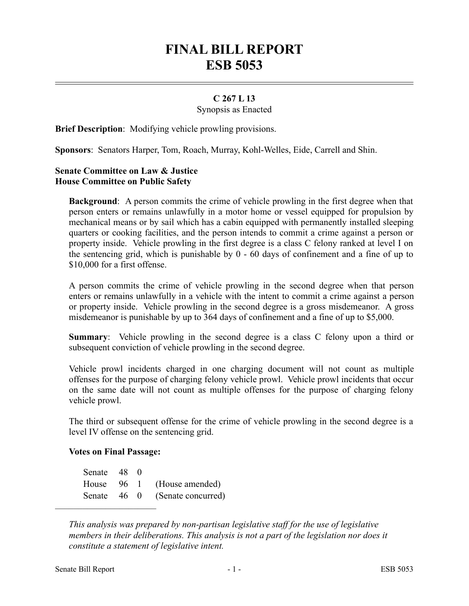## **FINAL BILL REPORT ESB 5053**

## **C 267 L 13**

Synopsis as Enacted

**Brief Description**: Modifying vehicle prowling provisions.

**Sponsors**: Senators Harper, Tom, Roach, Murray, Kohl-Welles, Eide, Carrell and Shin.

## **Senate Committee on Law & Justice House Committee on Public Safety**

**Background**: A person commits the crime of vehicle prowling in the first degree when that person enters or remains unlawfully in a motor home or vessel equipped for propulsion by mechanical means or by sail which has a cabin equipped with permanently installed sleeping quarters or cooking facilities, and the person intends to commit a crime against a person or property inside. Vehicle prowling in the first degree is a class C felony ranked at level I on the sentencing grid, which is punishable by 0 - 60 days of confinement and a fine of up to \$10,000 for a first offense.

A person commits the crime of vehicle prowling in the second degree when that person enters or remains unlawfully in a vehicle with the intent to commit a crime against a person or property inside. Vehicle prowling in the second degree is a gross misdemeanor. A gross misdemeanor is punishable by up to 364 days of confinement and a fine of up to \$5,000.

**Summary**: Vehicle prowling in the second degree is a class C felony upon a third or subsequent conviction of vehicle prowling in the second degree.

Vehicle prowl incidents charged in one charging document will not count as multiple offenses for the purpose of charging felony vehicle prowl. Vehicle prowl incidents that occur on the same date will not count as multiple offenses for the purpose of charging felony vehicle prowl.

The third or subsequent offense for the crime of vehicle prowling in the second degree is a level IV offense on the sentencing grid.

## **Votes on Final Passage:**

––––––––––––––––––––––

Senate 48 0 House 96 1 (House amended) Senate 46 0 (Senate concurred)

*This analysis was prepared by non-partisan legislative staff for the use of legislative members in their deliberations. This analysis is not a part of the legislation nor does it constitute a statement of legislative intent.*